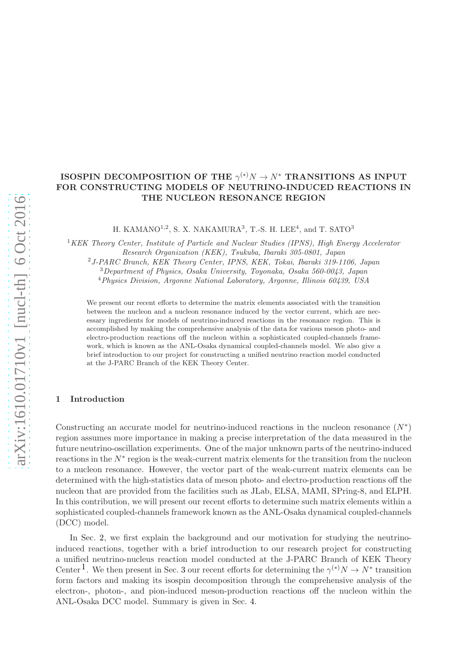# ISOSPIN DECOMPOSITION OF THE  $\gamma^{(*)}N \to N^*$  TRANSITIONS AS INPUT FOR CONSTRUCTING MODELS OF NEUTRINO-INDUCED REACTIONS IN THE NUCLEON RESONANCE REGION

H. KAMANO<sup>1,2</sup>, S. X. NAKAMURA<sup>3</sup>, T.-S. H. LEE<sup>4</sup>, and T. SATO<sup>3</sup>

<sup>KEK</sup> Theory Center, Institute of Particle and Nuclear Studies (IPNS), High Energy Accelerator Research Organization (KEK), Tsukuba, Ibaraki 305-0801, Japan J-PARC Branch, KEK Theory Center, IPNS, KEK, Tokai, Ibaraki 319-1106, Japan Department of Physics, Osaka University, Toyonaka, Osaka 560-0043, Japan Physics Division, Argonne National Laboratory, Argonne, Illinois 60439, USA

We present our recent efforts to determine the matrix elements associated with the transition between the nucleon and a nucleon resonance induced by the vector current, which are necessary ingredients for models of neutrino-induced reactions in the resonance region. This is accomplished by making the comprehensive analysis of the data for various meson photo- and electro-production reactions off the nucleon within a sophisticated coupled-channels framework, which is known as the ANL-Osaka dynamical coupled-channels model. We also give a brief introduction to our project for constructing a unified neutrino reaction model conducted at the J-PARC Branch of the KEK Theory Center.

#### 1 Introduction

Constructing an accurate model for neutrino-induced reactions in the nucleon resonance  $(N^*)$ region assumes more importance in making a precise interpretation of the data measured in the future neutrino-oscillation experiments. One of the major unknown parts of the neutrino-induced reactions in the N<sup>∗</sup> region is the weak-current matrix elements for the transition from the nucleon to a nucleon resonance. However, the vector part of the weak-current matrix elements can be determined with the high-statistics data of meson photo- and electro-production reactions off the nucleon that are provided from the facilities such as JLab, ELSA, MAMI, SPring-8, and ELPH. In this contribution, we will present our recent efforts to determine such matrix elements within a sophisticated coupled-channels framework known as the ANL-Osaka dynamical coupled-channels (DCC) model.

In Sec. [2,](#page-1-0) we first explain the background and our motivation for studying the neutrinoinduced reactions, together with a brief introduction to our research project for constructing a unified neutrino-nucleus reaction model conducted at the J-PARC Branch of KEK Theory Center<sup>1</sup>. We then present in Sec. [3](#page-2-0) our recent efforts for determining the  $\gamma^{(*)}N \to N^*$  transition form factors and making its isospin decomposition through the comprehensive analysis of the electron-, photon-, and pion-induced meson-production reactions off the nucleon within the ANL-Osaka DCC model. Summary is given in Sec. [4.](#page-5-1)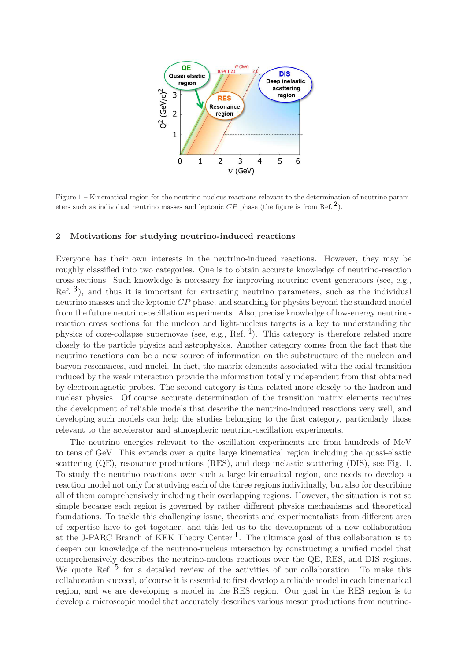

Figure 1 – Kinematical region for the neutrino-nucleus reactions relevant to the determination of neutrino parameters such as individual neutrino masses and leptonic  $\mathbb{CP}$  phase (the figure is from Ref.  $^2$  $^2$ ).

#### <span id="page-1-0"></span>2 Motivations for studying neutrino-induced reactions

Everyone has their own interests in the neutrino-induced reactions. However, they may be roughly classified into two categories. One is to obtain accurate knowledge of neutrino-reaction cross sections. Such knowledge is necessary for improving neutrino event generators (see, e.g., Ref.  $3$ ), and thus it is important for extracting neutrino parameters, such as the individual neutrino masses and the leptonic CP phase, and searching for physics beyond the standard model from the future neutrino-oscillation experiments. Also, precise knowledge of low-energy neutrinoreaction cross sections for the nucleon and light-nucleus targets is a key to understanding the physics of core-collapse supernovae (see, e.g., Ref.  $^{4}$ ). This category is therefore related more closely to the particle physics and astrophysics. Another category comes from the fact that the neutrino reactions can be a new source of information on the substructure of the nucleon and baryon resonances, and nuclei. In fact, the matrix elements associated with the axial transition induced by the weak interaction provide the information totally independent from that obtained by electromagnetic probes. The second category is thus related more closely to the hadron and nuclear physics. Of course accurate determination of the transition matrix elements requires the development of reliable models that describe the neutrino-induced reactions very well, and developing such models can help the studies belonging to the first category, particularly those relevant to the accelerator and atmospheric neutrino-oscillation experiments.

The neutrino energies relevant to the oscillation experiments are from hundreds of MeV to tens of GeV. This extends over a quite large kinematical region including the quasi-elastic scattering (QE), resonance productions (RES), and deep inelastic scattering (DIS), see Fig. [1.](#page-1-0) To study the neutrino reactions over such a large kinematical region, one needs to develop a reaction model not only for studying each of the three regions individually, but also for describing all of them comprehensively including their overlapping regions. However, the situation is not so simple because each region is governed by rather different physics mechanisms and theoretical foundations. To tackle this challenging issue, theorists and experimentalists from different area of expertise have to get together, and this led us to the development of a new collaboration at the J-PARC Branch of KEK Theory Center<sup>1</sup>. The ultimate goal of this collaboration is to deepen our knowledge of the neutrino-nucleus interaction by constructing a unified model that comprehensively describes the neutrino-nucleus reactions over the QE, RES, and DIS regions. We quote Ref. <sup>[5](#page-5-5)</sup> for a detailed review of the activities of our collaboration. To make this collaboration succeed, of course it is essential to first develop a reliable model in each kinematical region, and we are developing a model in the RES region. Our goal in the RES region is to develop a microscopic model that accurately describes various meson productions from neutrino-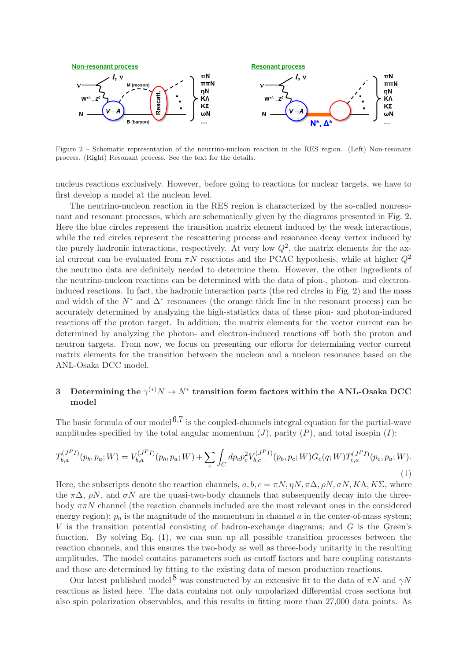

Figure 2 – Schematic representation of the neutrino-nucleon reaction in the RES region. (Left) Non-resonant process. (Right) Resonant process. See the text for the details.

nucleus reactions exclusively. However, before going to reactions for nuclear targets, we have to first develop a model at the nucleon level.

The neutrino-nucleon reaction in the RES region is characterized by the so-called nonresonant and resonant processes, which are schematically given by the diagrams presented in Fig. [2.](#page-1-0) Here the blue circles represent the transition matrix element induced by the weak interactions, while the red circles represent the rescattering process and resonance decay vertex induced by the purely hadronic interactions, respectively. At very low  $Q^2$ , the matrix elements for the axial current can be evaluated from  $\pi N$  reactions and the PCAC hypothesis, while at higher  $Q^2$ the neutrino data are definitely needed to determine them. However, the other ingredients of the neutrino-nucleon reactions can be determined with the data of pion-, photon- and electroninduced reactions. In fact, the hadronic interaction parts (the red circles in Fig. [2\)](#page-1-0) and the mass and width of the  $N^*$  and  $\Delta^*$  resonances (the orange thick line in the resonant process) can be accurately determined by analyzing the high-statistics data of these pion- and photon-induced reactions off the proton target. In addition, the matrix elements for the vector current can be determined by analyzing the photon- and electron-induced reactions off both the proton and neutron targets. From now, we focus on presenting our efforts for determining vector current matrix elements for the transition between the nucleon and a nucleon resonance based on the ANL-Osaka DCC model.

# <span id="page-2-0"></span> $3$  Determining the  $\gamma^{(*)}N\to N^*$  transition form factors within the ANL-Osaka DCC model

The basic formula of our model  $6.7$  $6.7$  $6.7$  is the coupled-channels integral equation for the partial-wave amplitudes specified by the total angular momentum  $(J)$ , parity  $(P)$ , and total isospin  $(I)$ :

<span id="page-2-1"></span>
$$
T_{b,a}^{(J^P I)}(p_b, p_a; W) = V_{b,a}^{(J^P I)}(p_b, p_a; W) + \sum_c \int_C dp_c p_c^2 V_{b,c}^{(J^P I)}(p_b, p_c; W) G_c(q; W) T_{c,a}^{(J^P I)}(p_c, p_a; W).
$$
\n(1)

Here, the subscripts denote the reaction channels,  $a, b, c = \pi N, \eta N, \pi \Delta, \rho N, \sigma N, K\Lambda, K\Sigma$ , where the  $\pi\Delta$ ,  $\rho N$ , and  $\sigma N$  are the quasi-two-body channels that subsequently decay into the threebody  $\pi \pi N$  channel (the reaction channels included are the most relevant ones in the considered energy region);  $p_a$  is the magnitude of the momentum in channel a in the center-of-mass system;  $V$  is the transition potential consisting of hadron-exchange diagrams; and  $G$  is the Green's function. By solving Eq. [\(1\)](#page-2-1), we can sum up all possible transition processes between the reaction channels, and this ensures the two-body as well as three-body unitarity in the resulting amplitudes. The model contains parameters such as cutoff factors and bare coupling constants and those are determined by fitting to the existing data of meson production reactions.

Our latest published model<sup>[8](#page-5-8)</sup> was constructed by an extensive fit to the data of  $\pi N$  and  $\gamma N$ reactions as listed here. The data contains not only unpolarized differential cross sections but also spin polarization observables, and this results in fitting more than 27,000 data points. As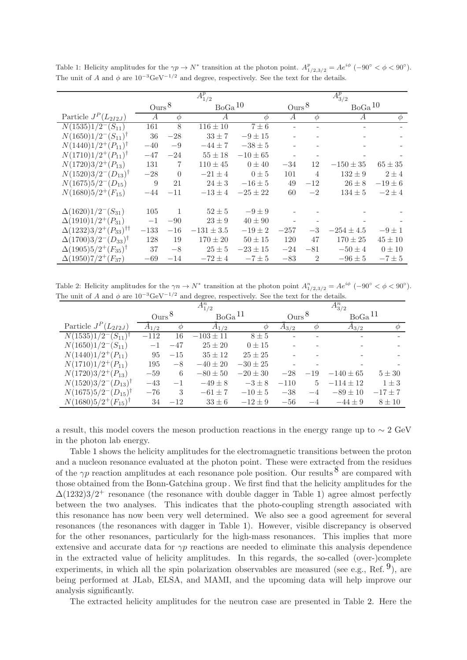|                                              | $A_{1/2}^p$    |                |                    |              | $A_{3/2}^p$    |                |                    |             |
|----------------------------------------------|----------------|----------------|--------------------|--------------|----------------|----------------|--------------------|-------------|
|                                              | $Ours^8$       |                | BoGa <sup>10</sup> |              | $Ours^8$       |                | BoGa <sup>10</sup> |             |
| Particle $J^P(L_{2I2J})$                     | $\overline{A}$ | $\phi$         | A                  | $\phi$       | $\overline{A}$ | $\varphi$      | $\overline{A}$     | $\phi$      |
| $N(1535)1/2^-(S_{11})$                       | 161            | 8              | $116 \pm 10$       | $7 \pm 6$    |                |                |                    |             |
| $N(1650)1/2^-(S_{11})^{\dagger}$             | 36             | $-28$          | $33 \pm 7$         | $-9 \pm 15$  |                |                |                    |             |
| $N(1440)1/2^+(P_{11})^{\dagger}$             | $-40$          | $-9$           | $-44 \pm 7$        | $-38 \pm 5$  |                |                |                    |             |
| $N(1710)1/2^+(P_{11})^{\dagger}$             | $-47$          | $-24$          | $55 \pm 18$        | $-10 \pm 65$ |                |                |                    |             |
| $N(1720)3/2^+(P_{13})$                       | 131            | $\overline{7}$ | $110 \pm 45$       | $0 \pm 40$   | $-34$          | 12             | $-150 \pm 35$      | $65 \pm 35$ |
| $N(1520)3/2^-(D_{13})^{\dagger}$             | $-28$          | $\theta$       | $-21 \pm 4$        | $0 \pm 5$    | 101            | 4              | $132 \pm 9$        | $2 \pm 4$   |
| $N(1675)5/2^{-}(D_{15})$                     | 9              | 21             | $24 \pm 3$         | $-16 \pm 5$  | 49             | $-12$          | $26 \pm 8$         | $-19 \pm 6$ |
| $N(1680)5/2^+(F_{15})$                       | $-44$          | $-11$          | $-13 \pm 4$        | $-25 \pm 22$ | 60             | $-2$           | $134 \pm 5$        | $-2\pm 4$   |
|                                              |                |                |                    |              |                |                |                    |             |
| $\Delta(1620)1/2^-(S_{31})$                  | 105            | $\overline{1}$ | $52 \pm 5$         | $-9 \pm 9$   |                |                |                    |             |
| $\Delta(1910)1/2^+(P_{31})$                  | $-1$           | $-90$          | $23 \pm 9$         | $40 \pm 90$  |                |                |                    |             |
| $\Delta(1232)3/2^+(P_{33})^{\dagger\dagger}$ | $-133$         | $-16$          | $-131 \pm 3.5$     | $-19 \pm 2$  | $-257$         | $-3$           | $-254 \pm 4.5$     | $-9 \pm 1$  |
| $\Delta(1700)3/2^{-}(D_{33})^{\dagger}$      | 128            | 19             | $170 \pm 20$       | $50 \pm 15$  | 120            | 47             | $170 \pm 25$       | $45 \pm 10$ |
| $\Delta(1905)5/2^+(F_{35})^{\dagger}$        | 37             | $-8$           | $25 \pm 5$         | $-23 \pm 15$ | $-24$          | $-81$          | $-50 \pm 4$        | $0 \pm 10$  |
| $\Delta(1950)7/2^+(F_{37})$                  | $-69$          | $-14$          | $-72 \pm 4$        | $-7\pm5$     | $-83$          | $\overline{2}$ | $-96 \pm 5$        | $-7\pm 5$   |

Table 1: Helicity amplitudes for the  $\gamma p \to N^*$  transition at the photon point.  $A_{1/2,3/2}^p = Ae^{i\phi}$  (-90° <  $\phi$  < 90°). The unit of A and  $\phi$  are  $10^{-3} \text{GeV}^{-1/2}$  and degree, respectively. See the text for the details.

Table 2: Helicity amplitudes for the  $\gamma n \to N^*$  transition at the photon point  $A_{1/2,3/2}^n = Ae^{i\phi}$  (-90° <  $\phi$  < 90°). The unit of A and  $\phi$  are  $10^{-3} \text{GeV}^{-1/2}$  and degree, respectively. See the text for the details.

|                                             | $A_{1/2}^n$ |       |                    |              | $A_{3/2}^n$                   |                |                    |             |
|---------------------------------------------|-------------|-------|--------------------|--------------|-------------------------------|----------------|--------------------|-------------|
|                                             | $Ours^8$    |       | BoGa <sup>11</sup> |              | $_{\text{Ours}}$ <sup>8</sup> |                | BoGa <sup>11</sup> |             |
| Particle $J^P(L_{2I2J})$                    | $A_{1/2}$   | Ф     | $A_{1/2}$          | Ф            | $A_{3/2}$                     | $\varnothing$  | $A_{3/2}$          | ⋒           |
| $\overline{N(1535)1}/2^-(S_{11})^{\dagger}$ | $-112$      | 16    | $-103 \pm 11$      | $8 \pm 5$    |                               |                |                    |             |
| $N(1650)1/2^-(S_{11})$                      | $-1$        | $-47$ | $25 \pm 20$        | $0 \pm 15$   |                               |                |                    |             |
| $N(1440)1/2^+(P_{11})$                      | 95          | $-15$ | $35 \pm 12$        | $25 \pm 25$  |                               |                |                    |             |
| $N(1710)1/2^+(P_{11})$                      | 195         | $-8$  | $-40 \pm 20$       | $-30 \pm 25$ |                               |                |                    |             |
| $N(1720)3/2^+(P_{13})$                      | $-59$       | 6     | $-80 \pm 50$       | $-20 \pm 30$ | $-28$                         | $-19$          | $-140 \pm 65$      | $5 \pm 30$  |
| $N(1520)3/2^-(D_{13})^{\dagger}$            | $-43$       | $-1$  | $-49\pm 8$         | $-3\pm8$     | $-110$                        | $\overline{5}$ | $-114 \pm 12$      | $1 \pm 3$   |
| $N(1675)5/2^-(D_{15})^{\dagger}$            | $-76$       | 3     | $-61 \pm 7$        | $-10\pm 5$   | $-38$                         | $-4$           | $-89 \pm 10$       | $-17 \pm 7$ |
| $N(1680)5/2^+(F_{15})^{\dagger}$            | 34          | $-12$ | $33 \pm 6$         | $-12 \pm 9$  | $-56$                         | $-4$           | $-44 \pm 9$        | $8 \pm 10$  |

a result, this model covers the meson production reactions in the energy range up to ∼ 2 GeV in the photon lab energy.

Table [1](#page-2-1) shows the helicity amplitudes for the electromagnetic transitions between the proton and a nucleon resonance evaluated at the photon point. These were extracted from the residues of the  $\gamma p$  reaction amplitudes at each resonance pole position. Our results  $\delta$  are compared with those obtained from the Bonn-Gatchina group . We first find that the helicity amplitudes for the  $\Delta(1232)3/2^+$  resonance (the resonance with double dagger in Table [1\)](#page-2-1) agree almost perfectly between the two analyses. This indicates that the photo-coupling strength associated with this resonance has now been very well determined. We also see a good agreement for several resonances (the resonances with dagger in Table [1\)](#page-2-1). However, visible discrepancy is observed for the other resonances, particularly for the high-mass resonances. This implies that more extensive and accurate data for  $\gamma p$  reactions are needed to eliminate this analysis dependence in the extracted value of helicity amplitudes. In this regards, the so-called (over-)complete experiments, in which all the spin polarization observables are measured (see e.g., Ref.  $9$ ), are being performed at JLab, ELSA, and MAMI, and the upcoming data will help improve our analysis significantly.

The extracted helicity amplitudes for the neutron case are presented in Table [2.](#page-2-1) Here the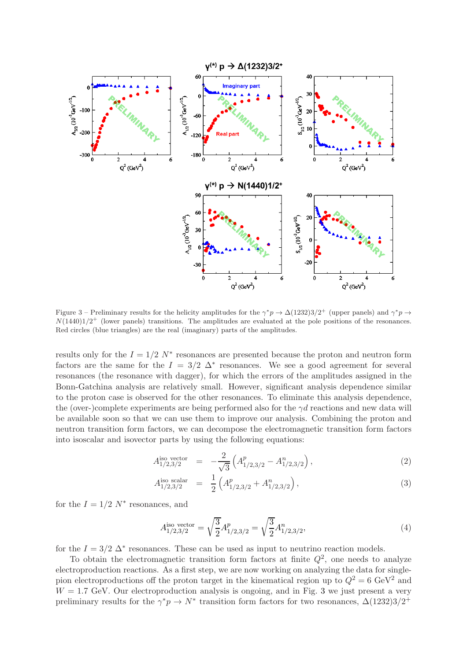

Figure 3 – Preliminary results for the helicity amplitudes for the  $\gamma^* p \to \Delta(1232)3/2^+$  (upper panels) and  $\gamma^* p \to$  $N(1440)1/2^+$  (lower panels) transitions. The amplitudes are evaluated at the pole positions of the resonances. Red circles (blue triangles) are the real (imaginary) parts of the amplitudes.

results only for the  $I = 1/2$  N<sup>\*</sup> resonances are presented because the proton and neutron form factors are the same for the  $I = 3/2$   $\Delta^*$  resonances. We see a good agreement for several resonances (the resonance with dagger), for which the errors of the amplitudes assigned in the Bonn-Gatchina analysis are relatively small. However, significant analysis dependence similar to the proton case is observed for the other resonances. To eliminate this analysis dependence, the (over-)complete experiments are being performed also for the  $\gamma d$  reactions and new data will be available soon so that we can use them to improve our analysis. Combining the proton and neutron transition form factors, we can decompose the electromagnetic transition form factors into isoscalar and isovector parts by using the following equations:

$$
A_{1/2,3/2}^{\text{iso vector}} = -\frac{2}{\sqrt{3}} \left( A_{1/2,3/2}^p - A_{1/2,3/2}^n \right), \tag{2}
$$

$$
A_{1/2,3/2}^{\text{iso scalar}} = \frac{1}{2} \left( A_{1/2,3/2}^p + A_{1/2,3/2}^n \right), \tag{3}
$$

for the  $I = 1/2$   $N^*$  resonances, and

<span id="page-4-0"></span>
$$
A_{1/2,3/2}^{\text{iso vector}} = \sqrt{\frac{3}{2}} A_{1/2,3/2}^p = \sqrt{\frac{3}{2}} A_{1/2,3/2}^n,\tag{4}
$$

for the  $I = 3/2 \Delta^*$  resonances. These can be used as input to neutrino reaction models.

To obtain the electromagnetic transition form factors at finite  $Q^2$ , one needs to analyze electroproduction reactions. As a first step, we are now working on analyzing the data for singlepion electroproductions off the proton target in the kinematical region up to  $Q^2 = 6 \text{ GeV}^2$  and  $W = 1.7$  GeV. Our electroproduction analysis is ongoing, and in Fig. [3](#page-4-0) we just present a very preliminary results for the  $\gamma^*p \to N^*$  transition form factors for two resonances,  $\Delta(1232)3/2^+$